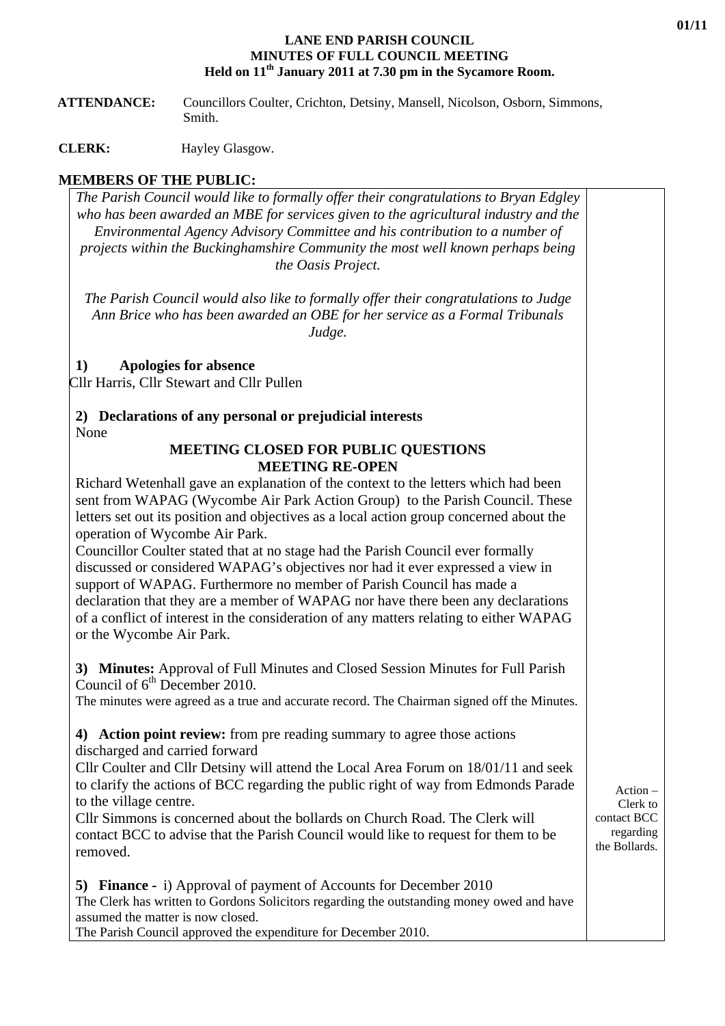## **LANE END PARISH COUNCIL MINUTES OF FULL COUNCIL MEETING Held on 11th January 2011 at 7.30 pm in the Sycamore Room.**

 **ATTENDANCE:** Councillors Coulter, Crichton, Detsiny, Mansell, Nicolson, Osborn, Simmons, Smith.

**CLERK:** Hayley Glasgow.

## **MEMBERS OF THE PUBLIC:**

*The Parish Council would like to formally offer their congratulations to Bryan Edgley who has been awarded an MBE for services given to the agricultural industry and the Environmental Agency Advisory Committee and his contribution to a number of projects within the Buckinghamshire Community the most well known perhaps being the Oasis Project.* 

*The Parish Council would also like to formally offer their congratulations to Judge Ann Brice who has been awarded an OBE for her service as a Formal Tribunals Judge.* 

**1) Apologies for absence** 

Cllr Harris, Cllr Stewart and Cllr Pullen

**2) Declarations of any personal or prejudicial interests**  None

## **MEETING CLOSED FOR PUBLIC QUESTIONS MEETING RE-OPEN**

Richard Wetenhall gave an explanation of the context to the letters which had been sent from WAPAG (Wycombe Air Park Action Group) to the Parish Council. These letters set out its position and objectives as a local action group concerned about the operation of Wycombe Air Park.

Councillor Coulter stated that at no stage had the Parish Council ever formally discussed or considered WAPAG's objectives nor had it ever expressed a view in support of WAPAG. Furthermore no member of Parish Council has made a declaration that they are a member of WAPAG nor have there been any declarations of a conflict of interest in the consideration of any matters relating to either WAPAG or the Wycombe Air Park.

**3) Minutes:** Approval of Full Minutes and Closed Session Minutes for Full Parish Council of  $6<sup>th</sup>$  December 2010.

The minutes were agreed as a true and accurate record. The Chairman signed off the Minutes.

**4) Action point review:** from pre reading summary to agree those actions discharged and carried forward

Cllr Coulter and Cllr Detsiny will attend the Local Area Forum on 18/01/11 and seek to clarify the actions of BCC regarding the public right of way from Edmonds Parade to the village centre.

Cllr Simmons is concerned about the bollards on Church Road. The Clerk will contact BCC to advise that the Parish Council would like to request for them to be removed.

**5) Finance -** i) Approval of payment of Accounts for December 2010 The Clerk has written to Gordons Solicitors regarding the outstanding money owed and have assumed the matter is now closed. The Parish Council approved the expenditure for December 2010.

Action – Clerk to contact BCC regarding the Bollards.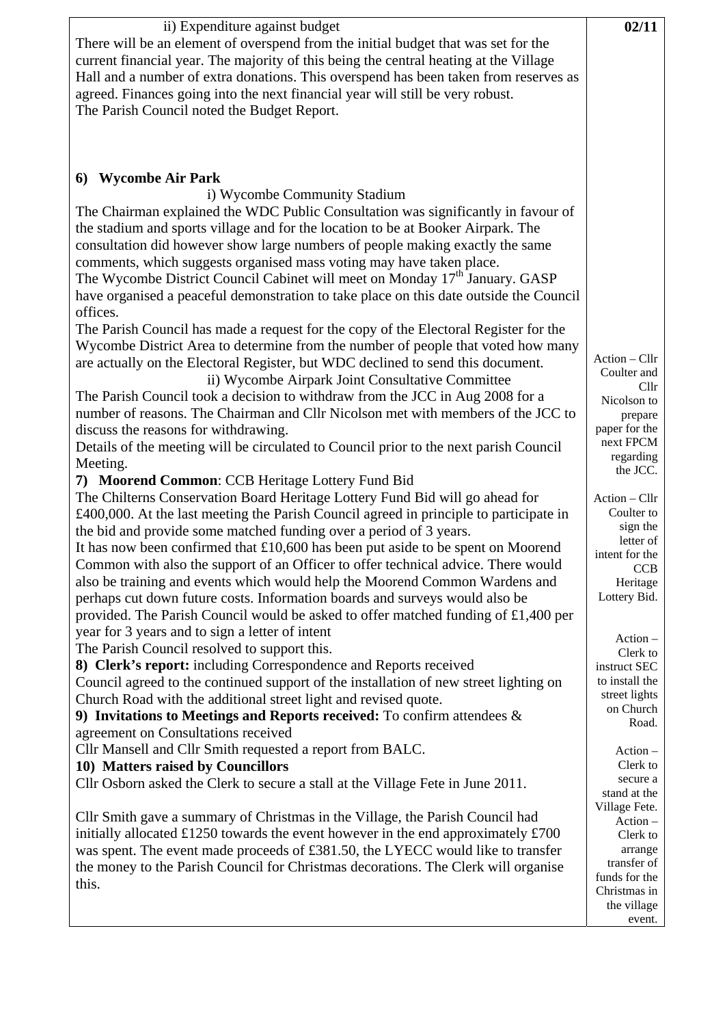| There will be an element of overspend from the initial budget that was set for the<br>current financial year. The majority of this being the central heating at the Village<br>Hall and a number of extra donations. This overspend has been taken from reserves as<br>agreed. Finances going into the next financial year will still be very robust.<br>The Parish Council noted the Budget Report.<br><b>Wycombe Air Park</b><br>6)<br>i) Wycombe Community Stadium<br>The Chairman explained the WDC Public Consultation was significantly in favour of<br>the stadium and sports village and for the location to be at Booker Airpark. The<br>consultation did however show large numbers of people making exactly the same<br>comments, which suggests organised mass voting may have taken place.<br>The Wycombe District Council Cabinet will meet on Monday 17 <sup>th</sup> January. GASP<br>have organised a peaceful demonstration to take place on this date outside the Council<br>offices.<br>The Parish Council has made a request for the copy of the Electoral Register for the<br>Wycombe District Area to determine from the number of people that voted how many<br>Action - Cllr<br>are actually on the Electoral Register, but WDC declined to send this document.<br>Coulter and<br>ii) Wycombe Airpark Joint Consultative Committee<br>Cl <sub>1</sub><br>The Parish Council took a decision to withdraw from the JCC in Aug 2008 for a<br>Nicolson to<br>number of reasons. The Chairman and Cllr Nicolson met with members of the JCC to<br>prepare<br>paper for the<br>discuss the reasons for withdrawing.<br>next FPCM<br>Details of the meeting will be circulated to Council prior to the next parish Council<br>regarding<br>Meeting.<br>the JCC.<br>7) Moorend Common: CCB Heritage Lottery Fund Bid<br>The Chilterns Conservation Board Heritage Lottery Fund Bid will go ahead for<br>Action - Cllr<br>Coulter to<br>£400,000. At the last meeting the Parish Council agreed in principle to participate in<br>sign the<br>the bid and provide some matched funding over a period of 3 years.<br>letter of<br>It has now been confirmed that $£10,600$ has been put aside to be spent on Moorend<br>intent for the<br>Common with also the support of an Officer to offer technical advice. There would<br>CCB<br>also be training and events which would help the Moorend Common Wardens and<br>Heritage<br>Lottery Bid.<br>perhaps cut down future costs. Information boards and surveys would also be<br>provided. The Parish Council would be asked to offer matched funding of £1,400 per<br>year for 3 years and to sign a letter of intent<br>$Action -$<br>The Parish Council resolved to support this.<br>Clerk to<br>8) Clerk's report: including Correspondence and Reports received<br>instruct SEC<br>to install the<br>Council agreed to the continued support of the installation of new street lighting on<br>street lights<br>Church Road with the additional street light and revised quote.<br>on Church<br>9) Invitations to Meetings and Reports received: To confirm attendees $\&$<br>Road.<br>agreement on Consultations received<br>Cllr Mansell and Cllr Smith requested a report from BALC.<br>$Action -$<br>Clerk to<br>10) Matters raised by Councillors<br>secure a<br>Cllr Osborn asked the Clerk to secure a stall at the Village Fete in June 2011.<br>stand at the<br>Village Fete.<br>Cllr Smith gave a summary of Christmas in the Village, the Parish Council had<br>$Action -$<br>initially allocated £1250 towards the event however in the end approximately $£700$<br>Clerk to<br>was spent. The event made proceeds of £381.50, the LYECC would like to transfer<br>arrange |        |
|----------------------------------------------------------------------------------------------------------------------------------------------------------------------------------------------------------------------------------------------------------------------------------------------------------------------------------------------------------------------------------------------------------------------------------------------------------------------------------------------------------------------------------------------------------------------------------------------------------------------------------------------------------------------------------------------------------------------------------------------------------------------------------------------------------------------------------------------------------------------------------------------------------------------------------------------------------------------------------------------------------------------------------------------------------------------------------------------------------------------------------------------------------------------------------------------------------------------------------------------------------------------------------------------------------------------------------------------------------------------------------------------------------------------------------------------------------------------------------------------------------------------------------------------------------------------------------------------------------------------------------------------------------------------------------------------------------------------------------------------------------------------------------------------------------------------------------------------------------------------------------------------------------------------------------------------------------------------------------------------------------------------------------------------------------------------------------------------------------------------------------------------------------------------------------------------------------------------------------------------------------------------------------------------------------------------------------------------------------------------------------------------------------------------------------------------------------------------------------------------------------------------------------------------------------------------------------------------------------------------------------------------------------------------------------------------------------------------------------------------------------------------------------------------------------------------------------------------------------------------------------------------------------------------------------------------------------------------------------------------------------------------------------------------------------------------------------------------------------------------------------------------------------------------------------------------------------------------------------------------------------------------------------------------------------------------------------------------------------------------------------------------------------------------------------------------------------------------------------------------------------------------------------------------------------------------------------------------------------------------------------------------------------------------------------------------------------------------------------------------------------|--------|
|                                                                                                                                                                                                                                                                                                                                                                                                                                                                                                                                                                                                                                                                                                                                                                                                                                                                                                                                                                                                                                                                                                                                                                                                                                                                                                                                                                                                                                                                                                                                                                                                                                                                                                                                                                                                                                                                                                                                                                                                                                                                                                                                                                                                                                                                                                                                                                                                                                                                                                                                                                                                                                                                                                                                                                                                                                                                                                                                                                                                                                                                                                                                                                                                                                                                                                                                                                                                                                                                                                                                                                                                                                                                                                                                                          |        |
|                                                                                                                                                                                                                                                                                                                                                                                                                                                                                                                                                                                                                                                                                                                                                                                                                                                                                                                                                                                                                                                                                                                                                                                                                                                                                                                                                                                                                                                                                                                                                                                                                                                                                                                                                                                                                                                                                                                                                                                                                                                                                                                                                                                                                                                                                                                                                                                                                                                                                                                                                                                                                                                                                                                                                                                                                                                                                                                                                                                                                                                                                                                                                                                                                                                                                                                                                                                                                                                                                                                                                                                                                                                                                                                                                          |        |
|                                                                                                                                                                                                                                                                                                                                                                                                                                                                                                                                                                                                                                                                                                                                                                                                                                                                                                                                                                                                                                                                                                                                                                                                                                                                                                                                                                                                                                                                                                                                                                                                                                                                                                                                                                                                                                                                                                                                                                                                                                                                                                                                                                                                                                                                                                                                                                                                                                                                                                                                                                                                                                                                                                                                                                                                                                                                                                                                                                                                                                                                                                                                                                                                                                                                                                                                                                                                                                                                                                                                                                                                                                                                                                                                                          |        |
|                                                                                                                                                                                                                                                                                                                                                                                                                                                                                                                                                                                                                                                                                                                                                                                                                                                                                                                                                                                                                                                                                                                                                                                                                                                                                                                                                                                                                                                                                                                                                                                                                                                                                                                                                                                                                                                                                                                                                                                                                                                                                                                                                                                                                                                                                                                                                                                                                                                                                                                                                                                                                                                                                                                                                                                                                                                                                                                                                                                                                                                                                                                                                                                                                                                                                                                                                                                                                                                                                                                                                                                                                                                                                                                                                          |        |
|                                                                                                                                                                                                                                                                                                                                                                                                                                                                                                                                                                                                                                                                                                                                                                                                                                                                                                                                                                                                                                                                                                                                                                                                                                                                                                                                                                                                                                                                                                                                                                                                                                                                                                                                                                                                                                                                                                                                                                                                                                                                                                                                                                                                                                                                                                                                                                                                                                                                                                                                                                                                                                                                                                                                                                                                                                                                                                                                                                                                                                                                                                                                                                                                                                                                                                                                                                                                                                                                                                                                                                                                                                                                                                                                                          |        |
|                                                                                                                                                                                                                                                                                                                                                                                                                                                                                                                                                                                                                                                                                                                                                                                                                                                                                                                                                                                                                                                                                                                                                                                                                                                                                                                                                                                                                                                                                                                                                                                                                                                                                                                                                                                                                                                                                                                                                                                                                                                                                                                                                                                                                                                                                                                                                                                                                                                                                                                                                                                                                                                                                                                                                                                                                                                                                                                                                                                                                                                                                                                                                                                                                                                                                                                                                                                                                                                                                                                                                                                                                                                                                                                                                          |        |
|                                                                                                                                                                                                                                                                                                                                                                                                                                                                                                                                                                                                                                                                                                                                                                                                                                                                                                                                                                                                                                                                                                                                                                                                                                                                                                                                                                                                                                                                                                                                                                                                                                                                                                                                                                                                                                                                                                                                                                                                                                                                                                                                                                                                                                                                                                                                                                                                                                                                                                                                                                                                                                                                                                                                                                                                                                                                                                                                                                                                                                                                                                                                                                                                                                                                                                                                                                                                                                                                                                                                                                                                                                                                                                                                                          |        |
|                                                                                                                                                                                                                                                                                                                                                                                                                                                                                                                                                                                                                                                                                                                                                                                                                                                                                                                                                                                                                                                                                                                                                                                                                                                                                                                                                                                                                                                                                                                                                                                                                                                                                                                                                                                                                                                                                                                                                                                                                                                                                                                                                                                                                                                                                                                                                                                                                                                                                                                                                                                                                                                                                                                                                                                                                                                                                                                                                                                                                                                                                                                                                                                                                                                                                                                                                                                                                                                                                                                                                                                                                                                                                                                                                          |        |
|                                                                                                                                                                                                                                                                                                                                                                                                                                                                                                                                                                                                                                                                                                                                                                                                                                                                                                                                                                                                                                                                                                                                                                                                                                                                                                                                                                                                                                                                                                                                                                                                                                                                                                                                                                                                                                                                                                                                                                                                                                                                                                                                                                                                                                                                                                                                                                                                                                                                                                                                                                                                                                                                                                                                                                                                                                                                                                                                                                                                                                                                                                                                                                                                                                                                                                                                                                                                                                                                                                                                                                                                                                                                                                                                                          |        |
|                                                                                                                                                                                                                                                                                                                                                                                                                                                                                                                                                                                                                                                                                                                                                                                                                                                                                                                                                                                                                                                                                                                                                                                                                                                                                                                                                                                                                                                                                                                                                                                                                                                                                                                                                                                                                                                                                                                                                                                                                                                                                                                                                                                                                                                                                                                                                                                                                                                                                                                                                                                                                                                                                                                                                                                                                                                                                                                                                                                                                                                                                                                                                                                                                                                                                                                                                                                                                                                                                                                                                                                                                                                                                                                                                          |        |
|                                                                                                                                                                                                                                                                                                                                                                                                                                                                                                                                                                                                                                                                                                                                                                                                                                                                                                                                                                                                                                                                                                                                                                                                                                                                                                                                                                                                                                                                                                                                                                                                                                                                                                                                                                                                                                                                                                                                                                                                                                                                                                                                                                                                                                                                                                                                                                                                                                                                                                                                                                                                                                                                                                                                                                                                                                                                                                                                                                                                                                                                                                                                                                                                                                                                                                                                                                                                                                                                                                                                                                                                                                                                                                                                                          |        |
|                                                                                                                                                                                                                                                                                                                                                                                                                                                                                                                                                                                                                                                                                                                                                                                                                                                                                                                                                                                                                                                                                                                                                                                                                                                                                                                                                                                                                                                                                                                                                                                                                                                                                                                                                                                                                                                                                                                                                                                                                                                                                                                                                                                                                                                                                                                                                                                                                                                                                                                                                                                                                                                                                                                                                                                                                                                                                                                                                                                                                                                                                                                                                                                                                                                                                                                                                                                                                                                                                                                                                                                                                                                                                                                                                          |        |
|                                                                                                                                                                                                                                                                                                                                                                                                                                                                                                                                                                                                                                                                                                                                                                                                                                                                                                                                                                                                                                                                                                                                                                                                                                                                                                                                                                                                                                                                                                                                                                                                                                                                                                                                                                                                                                                                                                                                                                                                                                                                                                                                                                                                                                                                                                                                                                                                                                                                                                                                                                                                                                                                                                                                                                                                                                                                                                                                                                                                                                                                                                                                                                                                                                                                                                                                                                                                                                                                                                                                                                                                                                                                                                                                                          |        |
|                                                                                                                                                                                                                                                                                                                                                                                                                                                                                                                                                                                                                                                                                                                                                                                                                                                                                                                                                                                                                                                                                                                                                                                                                                                                                                                                                                                                                                                                                                                                                                                                                                                                                                                                                                                                                                                                                                                                                                                                                                                                                                                                                                                                                                                                                                                                                                                                                                                                                                                                                                                                                                                                                                                                                                                                                                                                                                                                                                                                                                                                                                                                                                                                                                                                                                                                                                                                                                                                                                                                                                                                                                                                                                                                                          |        |
|                                                                                                                                                                                                                                                                                                                                                                                                                                                                                                                                                                                                                                                                                                                                                                                                                                                                                                                                                                                                                                                                                                                                                                                                                                                                                                                                                                                                                                                                                                                                                                                                                                                                                                                                                                                                                                                                                                                                                                                                                                                                                                                                                                                                                                                                                                                                                                                                                                                                                                                                                                                                                                                                                                                                                                                                                                                                                                                                                                                                                                                                                                                                                                                                                                                                                                                                                                                                                                                                                                                                                                                                                                                                                                                                                          |        |
|                                                                                                                                                                                                                                                                                                                                                                                                                                                                                                                                                                                                                                                                                                                                                                                                                                                                                                                                                                                                                                                                                                                                                                                                                                                                                                                                                                                                                                                                                                                                                                                                                                                                                                                                                                                                                                                                                                                                                                                                                                                                                                                                                                                                                                                                                                                                                                                                                                                                                                                                                                                                                                                                                                                                                                                                                                                                                                                                                                                                                                                                                                                                                                                                                                                                                                                                                                                                                                                                                                                                                                                                                                                                                                                                                          |        |
|                                                                                                                                                                                                                                                                                                                                                                                                                                                                                                                                                                                                                                                                                                                                                                                                                                                                                                                                                                                                                                                                                                                                                                                                                                                                                                                                                                                                                                                                                                                                                                                                                                                                                                                                                                                                                                                                                                                                                                                                                                                                                                                                                                                                                                                                                                                                                                                                                                                                                                                                                                                                                                                                                                                                                                                                                                                                                                                                                                                                                                                                                                                                                                                                                                                                                                                                                                                                                                                                                                                                                                                                                                                                                                                                                          |        |
|                                                                                                                                                                                                                                                                                                                                                                                                                                                                                                                                                                                                                                                                                                                                                                                                                                                                                                                                                                                                                                                                                                                                                                                                                                                                                                                                                                                                                                                                                                                                                                                                                                                                                                                                                                                                                                                                                                                                                                                                                                                                                                                                                                                                                                                                                                                                                                                                                                                                                                                                                                                                                                                                                                                                                                                                                                                                                                                                                                                                                                                                                                                                                                                                                                                                                                                                                                                                                                                                                                                                                                                                                                                                                                                                                          |        |
|                                                                                                                                                                                                                                                                                                                                                                                                                                                                                                                                                                                                                                                                                                                                                                                                                                                                                                                                                                                                                                                                                                                                                                                                                                                                                                                                                                                                                                                                                                                                                                                                                                                                                                                                                                                                                                                                                                                                                                                                                                                                                                                                                                                                                                                                                                                                                                                                                                                                                                                                                                                                                                                                                                                                                                                                                                                                                                                                                                                                                                                                                                                                                                                                                                                                                                                                                                                                                                                                                                                                                                                                                                                                                                                                                          |        |
|                                                                                                                                                                                                                                                                                                                                                                                                                                                                                                                                                                                                                                                                                                                                                                                                                                                                                                                                                                                                                                                                                                                                                                                                                                                                                                                                                                                                                                                                                                                                                                                                                                                                                                                                                                                                                                                                                                                                                                                                                                                                                                                                                                                                                                                                                                                                                                                                                                                                                                                                                                                                                                                                                                                                                                                                                                                                                                                                                                                                                                                                                                                                                                                                                                                                                                                                                                                                                                                                                                                                                                                                                                                                                                                                                          |        |
|                                                                                                                                                                                                                                                                                                                                                                                                                                                                                                                                                                                                                                                                                                                                                                                                                                                                                                                                                                                                                                                                                                                                                                                                                                                                                                                                                                                                                                                                                                                                                                                                                                                                                                                                                                                                                                                                                                                                                                                                                                                                                                                                                                                                                                                                                                                                                                                                                                                                                                                                                                                                                                                                                                                                                                                                                                                                                                                                                                                                                                                                                                                                                                                                                                                                                                                                                                                                                                                                                                                                                                                                                                                                                                                                                          |        |
|                                                                                                                                                                                                                                                                                                                                                                                                                                                                                                                                                                                                                                                                                                                                                                                                                                                                                                                                                                                                                                                                                                                                                                                                                                                                                                                                                                                                                                                                                                                                                                                                                                                                                                                                                                                                                                                                                                                                                                                                                                                                                                                                                                                                                                                                                                                                                                                                                                                                                                                                                                                                                                                                                                                                                                                                                                                                                                                                                                                                                                                                                                                                                                                                                                                                                                                                                                                                                                                                                                                                                                                                                                                                                                                                                          |        |
|                                                                                                                                                                                                                                                                                                                                                                                                                                                                                                                                                                                                                                                                                                                                                                                                                                                                                                                                                                                                                                                                                                                                                                                                                                                                                                                                                                                                                                                                                                                                                                                                                                                                                                                                                                                                                                                                                                                                                                                                                                                                                                                                                                                                                                                                                                                                                                                                                                                                                                                                                                                                                                                                                                                                                                                                                                                                                                                                                                                                                                                                                                                                                                                                                                                                                                                                                                                                                                                                                                                                                                                                                                                                                                                                                          |        |
|                                                                                                                                                                                                                                                                                                                                                                                                                                                                                                                                                                                                                                                                                                                                                                                                                                                                                                                                                                                                                                                                                                                                                                                                                                                                                                                                                                                                                                                                                                                                                                                                                                                                                                                                                                                                                                                                                                                                                                                                                                                                                                                                                                                                                                                                                                                                                                                                                                                                                                                                                                                                                                                                                                                                                                                                                                                                                                                                                                                                                                                                                                                                                                                                                                                                                                                                                                                                                                                                                                                                                                                                                                                                                                                                                          |        |
|                                                                                                                                                                                                                                                                                                                                                                                                                                                                                                                                                                                                                                                                                                                                                                                                                                                                                                                                                                                                                                                                                                                                                                                                                                                                                                                                                                                                                                                                                                                                                                                                                                                                                                                                                                                                                                                                                                                                                                                                                                                                                                                                                                                                                                                                                                                                                                                                                                                                                                                                                                                                                                                                                                                                                                                                                                                                                                                                                                                                                                                                                                                                                                                                                                                                                                                                                                                                                                                                                                                                                                                                                                                                                                                                                          |        |
|                                                                                                                                                                                                                                                                                                                                                                                                                                                                                                                                                                                                                                                                                                                                                                                                                                                                                                                                                                                                                                                                                                                                                                                                                                                                                                                                                                                                                                                                                                                                                                                                                                                                                                                                                                                                                                                                                                                                                                                                                                                                                                                                                                                                                                                                                                                                                                                                                                                                                                                                                                                                                                                                                                                                                                                                                                                                                                                                                                                                                                                                                                                                                                                                                                                                                                                                                                                                                                                                                                                                                                                                                                                                                                                                                          |        |
|                                                                                                                                                                                                                                                                                                                                                                                                                                                                                                                                                                                                                                                                                                                                                                                                                                                                                                                                                                                                                                                                                                                                                                                                                                                                                                                                                                                                                                                                                                                                                                                                                                                                                                                                                                                                                                                                                                                                                                                                                                                                                                                                                                                                                                                                                                                                                                                                                                                                                                                                                                                                                                                                                                                                                                                                                                                                                                                                                                                                                                                                                                                                                                                                                                                                                                                                                                                                                                                                                                                                                                                                                                                                                                                                                          |        |
|                                                                                                                                                                                                                                                                                                                                                                                                                                                                                                                                                                                                                                                                                                                                                                                                                                                                                                                                                                                                                                                                                                                                                                                                                                                                                                                                                                                                                                                                                                                                                                                                                                                                                                                                                                                                                                                                                                                                                                                                                                                                                                                                                                                                                                                                                                                                                                                                                                                                                                                                                                                                                                                                                                                                                                                                                                                                                                                                                                                                                                                                                                                                                                                                                                                                                                                                                                                                                                                                                                                                                                                                                                                                                                                                                          |        |
|                                                                                                                                                                                                                                                                                                                                                                                                                                                                                                                                                                                                                                                                                                                                                                                                                                                                                                                                                                                                                                                                                                                                                                                                                                                                                                                                                                                                                                                                                                                                                                                                                                                                                                                                                                                                                                                                                                                                                                                                                                                                                                                                                                                                                                                                                                                                                                                                                                                                                                                                                                                                                                                                                                                                                                                                                                                                                                                                                                                                                                                                                                                                                                                                                                                                                                                                                                                                                                                                                                                                                                                                                                                                                                                                                          |        |
|                                                                                                                                                                                                                                                                                                                                                                                                                                                                                                                                                                                                                                                                                                                                                                                                                                                                                                                                                                                                                                                                                                                                                                                                                                                                                                                                                                                                                                                                                                                                                                                                                                                                                                                                                                                                                                                                                                                                                                                                                                                                                                                                                                                                                                                                                                                                                                                                                                                                                                                                                                                                                                                                                                                                                                                                                                                                                                                                                                                                                                                                                                                                                                                                                                                                                                                                                                                                                                                                                                                                                                                                                                                                                                                                                          |        |
|                                                                                                                                                                                                                                                                                                                                                                                                                                                                                                                                                                                                                                                                                                                                                                                                                                                                                                                                                                                                                                                                                                                                                                                                                                                                                                                                                                                                                                                                                                                                                                                                                                                                                                                                                                                                                                                                                                                                                                                                                                                                                                                                                                                                                                                                                                                                                                                                                                                                                                                                                                                                                                                                                                                                                                                                                                                                                                                                                                                                                                                                                                                                                                                                                                                                                                                                                                                                                                                                                                                                                                                                                                                                                                                                                          |        |
|                                                                                                                                                                                                                                                                                                                                                                                                                                                                                                                                                                                                                                                                                                                                                                                                                                                                                                                                                                                                                                                                                                                                                                                                                                                                                                                                                                                                                                                                                                                                                                                                                                                                                                                                                                                                                                                                                                                                                                                                                                                                                                                                                                                                                                                                                                                                                                                                                                                                                                                                                                                                                                                                                                                                                                                                                                                                                                                                                                                                                                                                                                                                                                                                                                                                                                                                                                                                                                                                                                                                                                                                                                                                                                                                                          |        |
|                                                                                                                                                                                                                                                                                                                                                                                                                                                                                                                                                                                                                                                                                                                                                                                                                                                                                                                                                                                                                                                                                                                                                                                                                                                                                                                                                                                                                                                                                                                                                                                                                                                                                                                                                                                                                                                                                                                                                                                                                                                                                                                                                                                                                                                                                                                                                                                                                                                                                                                                                                                                                                                                                                                                                                                                                                                                                                                                                                                                                                                                                                                                                                                                                                                                                                                                                                                                                                                                                                                                                                                                                                                                                                                                                          |        |
|                                                                                                                                                                                                                                                                                                                                                                                                                                                                                                                                                                                                                                                                                                                                                                                                                                                                                                                                                                                                                                                                                                                                                                                                                                                                                                                                                                                                                                                                                                                                                                                                                                                                                                                                                                                                                                                                                                                                                                                                                                                                                                                                                                                                                                                                                                                                                                                                                                                                                                                                                                                                                                                                                                                                                                                                                                                                                                                                                                                                                                                                                                                                                                                                                                                                                                                                                                                                                                                                                                                                                                                                                                                                                                                                                          |        |
|                                                                                                                                                                                                                                                                                                                                                                                                                                                                                                                                                                                                                                                                                                                                                                                                                                                                                                                                                                                                                                                                                                                                                                                                                                                                                                                                                                                                                                                                                                                                                                                                                                                                                                                                                                                                                                                                                                                                                                                                                                                                                                                                                                                                                                                                                                                                                                                                                                                                                                                                                                                                                                                                                                                                                                                                                                                                                                                                                                                                                                                                                                                                                                                                                                                                                                                                                                                                                                                                                                                                                                                                                                                                                                                                                          |        |
|                                                                                                                                                                                                                                                                                                                                                                                                                                                                                                                                                                                                                                                                                                                                                                                                                                                                                                                                                                                                                                                                                                                                                                                                                                                                                                                                                                                                                                                                                                                                                                                                                                                                                                                                                                                                                                                                                                                                                                                                                                                                                                                                                                                                                                                                                                                                                                                                                                                                                                                                                                                                                                                                                                                                                                                                                                                                                                                                                                                                                                                                                                                                                                                                                                                                                                                                                                                                                                                                                                                                                                                                                                                                                                                                                          |        |
|                                                                                                                                                                                                                                                                                                                                                                                                                                                                                                                                                                                                                                                                                                                                                                                                                                                                                                                                                                                                                                                                                                                                                                                                                                                                                                                                                                                                                                                                                                                                                                                                                                                                                                                                                                                                                                                                                                                                                                                                                                                                                                                                                                                                                                                                                                                                                                                                                                                                                                                                                                                                                                                                                                                                                                                                                                                                                                                                                                                                                                                                                                                                                                                                                                                                                                                                                                                                                                                                                                                                                                                                                                                                                                                                                          |        |
|                                                                                                                                                                                                                                                                                                                                                                                                                                                                                                                                                                                                                                                                                                                                                                                                                                                                                                                                                                                                                                                                                                                                                                                                                                                                                                                                                                                                                                                                                                                                                                                                                                                                                                                                                                                                                                                                                                                                                                                                                                                                                                                                                                                                                                                                                                                                                                                                                                                                                                                                                                                                                                                                                                                                                                                                                                                                                                                                                                                                                                                                                                                                                                                                                                                                                                                                                                                                                                                                                                                                                                                                                                                                                                                                                          |        |
|                                                                                                                                                                                                                                                                                                                                                                                                                                                                                                                                                                                                                                                                                                                                                                                                                                                                                                                                                                                                                                                                                                                                                                                                                                                                                                                                                                                                                                                                                                                                                                                                                                                                                                                                                                                                                                                                                                                                                                                                                                                                                                                                                                                                                                                                                                                                                                                                                                                                                                                                                                                                                                                                                                                                                                                                                                                                                                                                                                                                                                                                                                                                                                                                                                                                                                                                                                                                                                                                                                                                                                                                                                                                                                                                                          |        |
|                                                                                                                                                                                                                                                                                                                                                                                                                                                                                                                                                                                                                                                                                                                                                                                                                                                                                                                                                                                                                                                                                                                                                                                                                                                                                                                                                                                                                                                                                                                                                                                                                                                                                                                                                                                                                                                                                                                                                                                                                                                                                                                                                                                                                                                                                                                                                                                                                                                                                                                                                                                                                                                                                                                                                                                                                                                                                                                                                                                                                                                                                                                                                                                                                                                                                                                                                                                                                                                                                                                                                                                                                                                                                                                                                          |        |
|                                                                                                                                                                                                                                                                                                                                                                                                                                                                                                                                                                                                                                                                                                                                                                                                                                                                                                                                                                                                                                                                                                                                                                                                                                                                                                                                                                                                                                                                                                                                                                                                                                                                                                                                                                                                                                                                                                                                                                                                                                                                                                                                                                                                                                                                                                                                                                                                                                                                                                                                                                                                                                                                                                                                                                                                                                                                                                                                                                                                                                                                                                                                                                                                                                                                                                                                                                                                                                                                                                                                                                                                                                                                                                                                                          |        |
|                                                                                                                                                                                                                                                                                                                                                                                                                                                                                                                                                                                                                                                                                                                                                                                                                                                                                                                                                                                                                                                                                                                                                                                                                                                                                                                                                                                                                                                                                                                                                                                                                                                                                                                                                                                                                                                                                                                                                                                                                                                                                                                                                                                                                                                                                                                                                                                                                                                                                                                                                                                                                                                                                                                                                                                                                                                                                                                                                                                                                                                                                                                                                                                                                                                                                                                                                                                                                                                                                                                                                                                                                                                                                                                                                          |        |
|                                                                                                                                                                                                                                                                                                                                                                                                                                                                                                                                                                                                                                                                                                                                                                                                                                                                                                                                                                                                                                                                                                                                                                                                                                                                                                                                                                                                                                                                                                                                                                                                                                                                                                                                                                                                                                                                                                                                                                                                                                                                                                                                                                                                                                                                                                                                                                                                                                                                                                                                                                                                                                                                                                                                                                                                                                                                                                                                                                                                                                                                                                                                                                                                                                                                                                                                                                                                                                                                                                                                                                                                                                                                                                                                                          |        |
|                                                                                                                                                                                                                                                                                                                                                                                                                                                                                                                                                                                                                                                                                                                                                                                                                                                                                                                                                                                                                                                                                                                                                                                                                                                                                                                                                                                                                                                                                                                                                                                                                                                                                                                                                                                                                                                                                                                                                                                                                                                                                                                                                                                                                                                                                                                                                                                                                                                                                                                                                                                                                                                                                                                                                                                                                                                                                                                                                                                                                                                                                                                                                                                                                                                                                                                                                                                                                                                                                                                                                                                                                                                                                                                                                          |        |
|                                                                                                                                                                                                                                                                                                                                                                                                                                                                                                                                                                                                                                                                                                                                                                                                                                                                                                                                                                                                                                                                                                                                                                                                                                                                                                                                                                                                                                                                                                                                                                                                                                                                                                                                                                                                                                                                                                                                                                                                                                                                                                                                                                                                                                                                                                                                                                                                                                                                                                                                                                                                                                                                                                                                                                                                                                                                                                                                                                                                                                                                                                                                                                                                                                                                                                                                                                                                                                                                                                                                                                                                                                                                                                                                                          |        |
|                                                                                                                                                                                                                                                                                                                                                                                                                                                                                                                                                                                                                                                                                                                                                                                                                                                                                                                                                                                                                                                                                                                                                                                                                                                                                                                                                                                                                                                                                                                                                                                                                                                                                                                                                                                                                                                                                                                                                                                                                                                                                                                                                                                                                                                                                                                                                                                                                                                                                                                                                                                                                                                                                                                                                                                                                                                                                                                                                                                                                                                                                                                                                                                                                                                                                                                                                                                                                                                                                                                                                                                                                                                                                                                                                          |        |
|                                                                                                                                                                                                                                                                                                                                                                                                                                                                                                                                                                                                                                                                                                                                                                                                                                                                                                                                                                                                                                                                                                                                                                                                                                                                                                                                                                                                                                                                                                                                                                                                                                                                                                                                                                                                                                                                                                                                                                                                                                                                                                                                                                                                                                                                                                                                                                                                                                                                                                                                                                                                                                                                                                                                                                                                                                                                                                                                                                                                                                                                                                                                                                                                                                                                                                                                                                                                                                                                                                                                                                                                                                                                                                                                                          |        |
| transfer of<br>the money to the Parish Council for Christmas decorations. The Clerk will organise                                                                                                                                                                                                                                                                                                                                                                                                                                                                                                                                                                                                                                                                                                                                                                                                                                                                                                                                                                                                                                                                                                                                                                                                                                                                                                                                                                                                                                                                                                                                                                                                                                                                                                                                                                                                                                                                                                                                                                                                                                                                                                                                                                                                                                                                                                                                                                                                                                                                                                                                                                                                                                                                                                                                                                                                                                                                                                                                                                                                                                                                                                                                                                                                                                                                                                                                                                                                                                                                                                                                                                                                                                                        |        |
| funds for the<br>this.                                                                                                                                                                                                                                                                                                                                                                                                                                                                                                                                                                                                                                                                                                                                                                                                                                                                                                                                                                                                                                                                                                                                                                                                                                                                                                                                                                                                                                                                                                                                                                                                                                                                                                                                                                                                                                                                                                                                                                                                                                                                                                                                                                                                                                                                                                                                                                                                                                                                                                                                                                                                                                                                                                                                                                                                                                                                                                                                                                                                                                                                                                                                                                                                                                                                                                                                                                                                                                                                                                                                                                                                                                                                                                                                   |        |
| Christmas in                                                                                                                                                                                                                                                                                                                                                                                                                                                                                                                                                                                                                                                                                                                                                                                                                                                                                                                                                                                                                                                                                                                                                                                                                                                                                                                                                                                                                                                                                                                                                                                                                                                                                                                                                                                                                                                                                                                                                                                                                                                                                                                                                                                                                                                                                                                                                                                                                                                                                                                                                                                                                                                                                                                                                                                                                                                                                                                                                                                                                                                                                                                                                                                                                                                                                                                                                                                                                                                                                                                                                                                                                                                                                                                                             |        |
| the village                                                                                                                                                                                                                                                                                                                                                                                                                                                                                                                                                                                                                                                                                                                                                                                                                                                                                                                                                                                                                                                                                                                                                                                                                                                                                                                                                                                                                                                                                                                                                                                                                                                                                                                                                                                                                                                                                                                                                                                                                                                                                                                                                                                                                                                                                                                                                                                                                                                                                                                                                                                                                                                                                                                                                                                                                                                                                                                                                                                                                                                                                                                                                                                                                                                                                                                                                                                                                                                                                                                                                                                                                                                                                                                                              | event. |